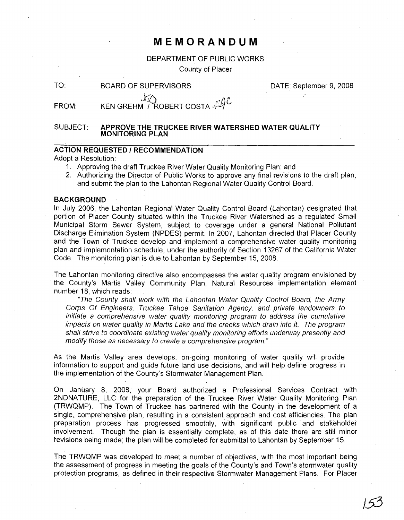## **MEMORANDUM**

#### DEPARTMENT OF PUBLIC WORKS

County of Placer

TO: BOARD OF SUPERVISORS

DATE: September 9, 2008

J53

FROM: KEN GREHM  $\gamma$  ROBERT COSTA  $\mathscr{A}$ 

#### SUBJECT: **APPROVE THE TRUCKEE RIVER WATERSHED WATER QUALITY MONITORING PLAN**

### **ACTION REQUESTED I RECOMMENDATION**

Adopt a Resolution:

- 1. Approving the draft Truckee River Water Quality Monitoring Plan; and
- 2. Authorizing the Director of Public Works to approve any final revisions to the draft plan, and submit the plan to the Lahontan Regional Water Quality Control Board.

#### **BACKGROUND**

In July 2006, the Lahontan Regional Water Quality Control Board (Lahontan) designated that portion of Placer County situated within the Truckee River Watershed as a regulated Small Municipal Storm Sewer System, subject to coverage under a general National Pollutant Discharge Elimination System (NPDES) permit. In 2007, Lahontan directed that Placer County and the Town of Truckee develop and implement a comprehensive water quality monitoring plan and implementation schedule, under the authority of Section 13267 of the California Water Code. The monitoring plan is due to Lahontan by September 15, 2008.

The Lahontan monitoring directive also encompasses the water quality program envisioned by the County's Martis Valley Community Plan, Natural Resources implementation element number 18, which reads:

"The County shall work with the Lahontan Water Quality Control Board, the Army Corps Of Engineers, Truckee Tahoe Sanitation Agency, and private landowners to initiate a comprehensive water quality monitoring program to address the cumulative impacts on water quality in Martis Lake and the creeks which drain into .it. The program shall strive to coordinate existing water quality monitoring efforts underway presently and modify those as necessary to create a comprehensive program."

As the Martis Valley area develops, on-going monitoring of water quality will provide information to support and guide future land use decisions, and will help define progress in the implementation of the County's Stormwater Management Plan.

On January 8, 2008, your Board authorized a Professional Services Contract with 2NDNATURE, LLC for the preparation of the Truckee River Water Quality Monitoring Plan (TRWQMP). The Town of Truckee has partnered with the County in the development of a single, comprehensive plan, resulting in a consistent approach and cost efficiencies. The plan preparation process has progressed smoothly, with significant public and stakeholder involvement. Though the plan is essentially complete, as of this date there are still minor revisions being made; the plan will be completed for submittal to Lahontan by September 15.

The TRWQMP was developed to meet a number of objectives, with the most important being the assessment of progress in meeting the goals of the County's and Town's stormwater quality protection programs, as defined in their respective Stormwater Management Plans. For Placer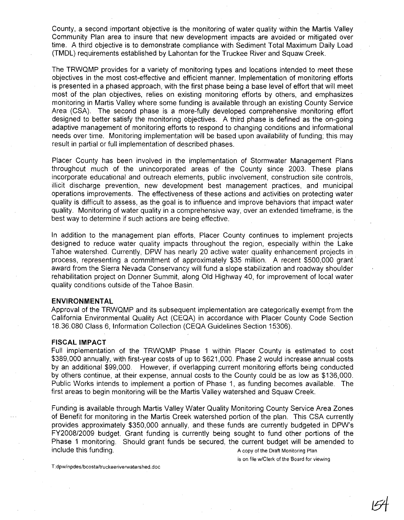County, a second important objective is the monitoring of water quality within the Martis Valley Community Plan area to insure that new development impacts are avoided or mitigated over time. A third objective is to demonstrate compliance with Sediment Total Maximum Daily Load (TMDL) requirements established by Lahontan for the Truckee River and Squaw Creek.

The TRWQMP provides for a variety of monitoring types and locations intended to meet these objectives in the most cost-effective and efficient manner. Implementation of monitoring efforts is presented in a phased approach, with the first phase being a base level of effort that will meet most of the plan objectives, relies on existing monitoring efforts by others, and emphasizes monitoring in Martis Valley where some funding is available through an existing County Service Area (CSA). The second phase is a more-fully developed comprehensive monitoring effort designed to better satisfy the monitoring objectives. A third phase is defined as the on-going adaptive management of monitoring efforts to respond to changing conditions and informational needs over time. Monitoring implementation will be based upon availability of funding; this may result in partial or full implementation of described phases.

Placer County has been involved in the implementation of Stormwater Management Plans throughout much of the unincorporated areas of the County since 2003. These plans incorporate educational and outreach elements, public involvement, construction site controls, illicit discharge prevention, new development best management practices, and municipal operations improvements. The effectiveness of these actions and activities on protecting water quality is difficult to assess, as the goal is to influence and improve behaviors that impact water quality. Monitoring of water'quality in a comprehensive way, over an extended timeframe, is the best way to determine if such actions are being effective.

In addition to the management plan efforts, Placer County continues to implement projects designed to reduce water quality impacts throughout the region, especially within the Lake Tahoe watershed. Currently, DPW has nearly 20 active water quality enhancement projects in process, representing a commitment of approximately \$35 million. A recent \$500,000 grant' award from the Sierra Nevada Conservancy will fund a slope stabilization and roadway shoulder rehabilitation project on Donner Summit, along Old Highway 40, for improvement of local water quality conditions outside of the Tahoe Basin.

#### **ENVIRONMENTAL**

Approval of the TRWQMP and its subsequent implementation are categorically exempt from the California Environmental Quality Act (CEQA) in accordance with Placer County Code Section 18.36.080 Class 6, Information Collection (CEQA Guidelines Section 15306).

#### **FISCAL IMPACT**

Full implementation of the TRWQMP Phase 1 within Placer County is estimated to cost \$389,000 annually, with first-year costs of up to \$621,000. Phase 2 would increase annual costs by an additional \$99,000. However, if overlapping current monitoring efforts being conducted by others continue, at their expense, annual costs to the County could be as low as \$136,000. Public Works intends to implement a portion of Phase 1, as funding becomes available. The first areas to begin monitoring will be the Martis Valley watershed and Squaw Creek.

Funding is available through Martis Valley Water Quality Monitoring County Service Area Zones of Benefit for monitoring in the Martis Creek watershed portion of the plan. This CSA currently provides approximately \$350,000 annually, and these funds are currently budgeted in DPW's FY2008/2009 bUdget. Grant funding is currently being sought to fund other portions of the Phase 1 monitoring. Should grant funds be secured, the current budget will be amended to include this funding. A copy of the Draft Monitoring Plan

is on file w/Clerk of the Board for viewing

T:dpw/npdes/bcosta/lruckeeriverwatershed.doc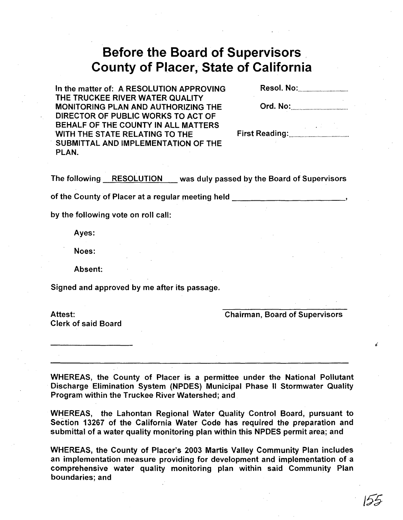# **Before the Board of Supervisors County of Placer, State of California**

In the matter of: A RESOLUTION APPROVING Resol. No: THE TRUCKEE RIVER WATER QUALITY MONITORING PLAN AND AUTHORIZING THE DIRECTOR OF PUBLIC WORKS TO ACT OF BEHALF OF THE COUNTY IN ALL MATTERS 'WITH THE STATE RELATING TO THE First Reading: . SUBMITTAL AND IMPLEMENTATION OF THE PLAN.

| Ord. No: |  |  |
|----------|--|--|
|          |  |  |

The following RESOLUTION was duly passed by the Board of Supervisors

of the County of Placer at a regular meeting held **with the County of Placer at a regular meeting held** 

by the following vote on roll call:

Ayes:

Noes:

Absent:

Signed and approved by me after its passage.

Attest: Clerk of said Board Chairman, Board of Supervisors

WHEREAS, the County of Placer is a permittee under the National Pollutant Discharge Elimination System (NPDES) Municipal Phase II Stormwater Quality Program within the Truckee River Watershed; and

WHEREAS, the Lahontan Regional Water Quality Control Board, pursuant to Section 13267 of the California Water Code has required the preparation and submittal of a water quality monitoring plan within this NPDES permit area; and

WHEREAS, the County of Placer's 2003 Martis Valley Community Plan includes an implementation measure providing for development and implementation of a comprehensive water quality monitoring plan within said Community Plan boundaries; and